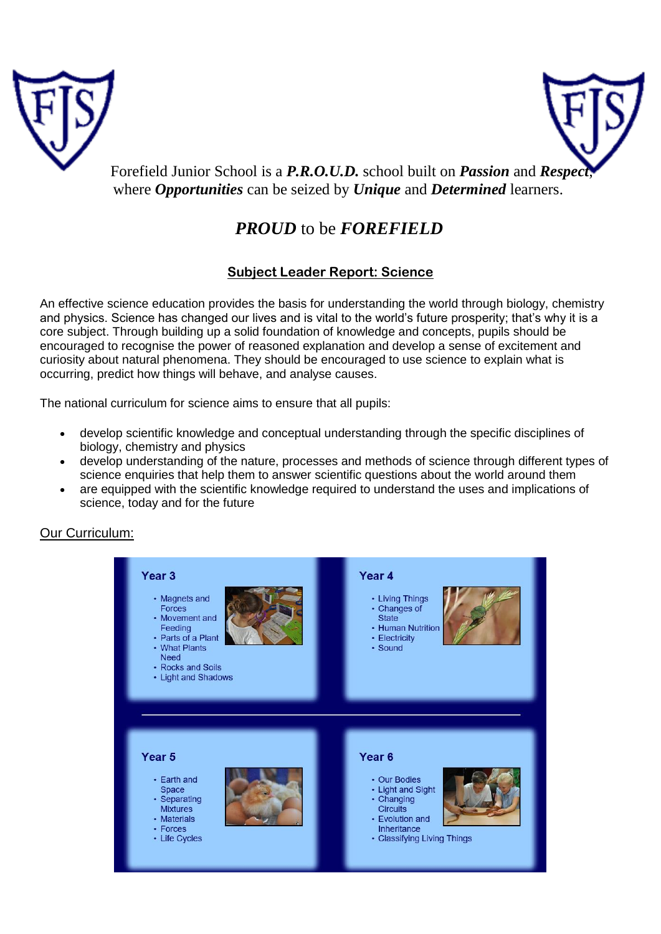



Forefield Junior School is a **P.R.O.U.D.** school built on **Passion** and **Respec** where *Opportunities* can be seized by *Unique* and *Determined* learners.

# *PROUD* to be *FOREFIELD*

# **Subject Leader Report: Science**

An effective science education provides the basis for understanding the world through biology, chemistry and physics. Science has changed our lives and is vital to the world's future prosperity; that's why it is a core subject. Through building up a solid foundation of knowledge and concepts, pupils should be encouraged to recognise the power of reasoned explanation and develop a sense of excitement and curiosity about natural phenomena. They should be encouraged to use science to explain what is occurring, predict how things will behave, and analyse causes.

The national curriculum for science aims to ensure that all pupils:

- develop scientific knowledge and conceptual understanding through the specific disciplines of biology, chemistry and physics
- develop understanding of the nature, processes and methods of science through different types of science enquiries that help them to answer scientific questions about the world around them
- are equipped with the scientific knowledge required to understand the uses and implications of science, today and for the future

Our Curriculum:

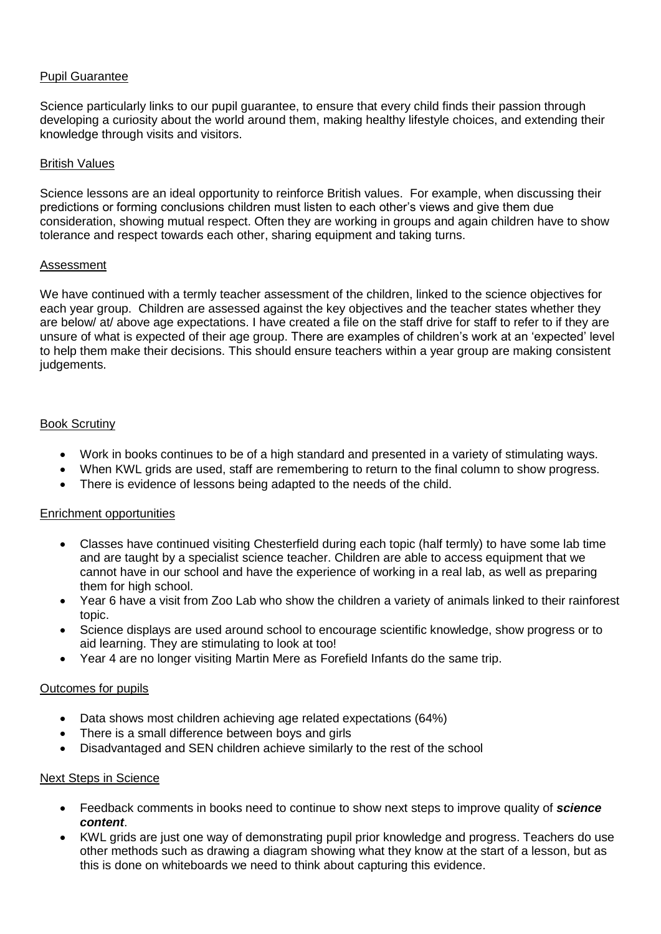# Pupil Guarantee

Science particularly links to our pupil guarantee, to ensure that every child finds their passion through developing a curiosity about the world around them, making healthy lifestyle choices, and extending their knowledge through visits and visitors.

### British Values

Science lessons are an ideal opportunity to reinforce British values. For example, when discussing their predictions or forming conclusions children must listen to each other's views and give them due consideration, showing mutual respect. Often they are working in groups and again children have to show tolerance and respect towards each other, sharing equipment and taking turns.

#### Assessment

We have continued with a termly teacher assessment of the children, linked to the science objectives for each year group. Children are assessed against the key objectives and the teacher states whether they are below/ at/ above age expectations. I have created a file on the staff drive for staff to refer to if they are unsure of what is expected of their age group. There are examples of children's work at an 'expected' level to help them make their decisions. This should ensure teachers within a year group are making consistent judgements.

# **Book Scrutiny**

- Work in books continues to be of a high standard and presented in a variety of stimulating ways.
- When KWL grids are used, staff are remembering to return to the final column to show progress.
- There is evidence of lessons being adapted to the needs of the child.

# Enrichment opportunities

- Classes have continued visiting Chesterfield during each topic (half termly) to have some lab time and are taught by a specialist science teacher. Children are able to access equipment that we cannot have in our school and have the experience of working in a real lab, as well as preparing them for high school.
- Year 6 have a visit from Zoo Lab who show the children a variety of animals linked to their rainforest topic.
- Science displays are used around school to encourage scientific knowledge, show progress or to aid learning. They are stimulating to look at too!
- Year 4 are no longer visiting Martin Mere as Forefield Infants do the same trip.

# Outcomes for pupils

- Data shows most children achieving age related expectations (64%)
- There is a small difference between boys and girls
- Disadvantaged and SEN children achieve similarly to the rest of the school

#### Next Steps in Science

- Feedback comments in books need to continue to show next steps to improve quality of *science content*.
- KWL grids are just one way of demonstrating pupil prior knowledge and progress. Teachers do use other methods such as drawing a diagram showing what they know at the start of a lesson, but as this is done on whiteboards we need to think about capturing this evidence.